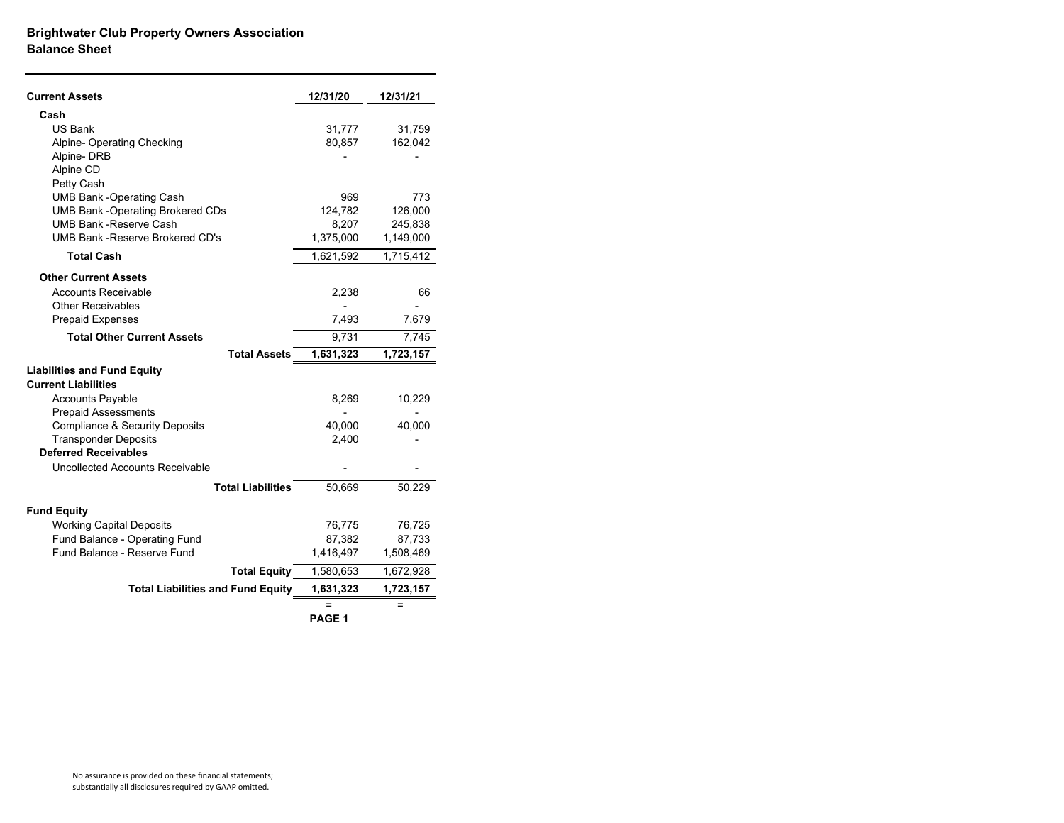## **Brightwater Club Property Owners Association Balance Sheet**

| <b>Current Assets</b>                     | 12/31/20  | 12/31/21  |
|-------------------------------------------|-----------|-----------|
| Cash                                      |           |           |
| <b>US Bank</b>                            | 31,777    | 31,759    |
| Alpine- Operating Checking                | 80,857    | 162,042   |
| Alpine-DRB                                |           |           |
| Alpine CD                                 |           |           |
| Petty Cash                                |           |           |
| <b>UMB Bank -Operating Cash</b>           | 969       | 773       |
| <b>UMB Bank -Operating Brokered CDs</b>   | 124,782   | 126,000   |
| <b>UMB Bank -Reserve Cash</b>             | 8,207     | 245,838   |
| UMB Bank - Reserve Brokered CD's          | 1,375,000 | 1,149,000 |
| <b>Total Cash</b>                         | 1,621,592 | 1,715,412 |
| <b>Other Current Assets</b>               |           |           |
| <b>Accounts Receivable</b>                | 2,238     | 66        |
| <b>Other Receivables</b>                  |           |           |
| <b>Prepaid Expenses</b>                   | 7,493     | 7,679     |
| <b>Total Other Current Assets</b>         | 9,731     | 7,745     |
| <b>Total Assets</b>                       | 1,631,323 | 1,723,157 |
| <b>Liabilities and Fund Equity</b>        |           |           |
| <b>Current Liabilities</b>                |           |           |
| <b>Accounts Payable</b>                   | 8,269     | 10,229    |
| <b>Prepaid Assessments</b>                |           |           |
| <b>Compliance &amp; Security Deposits</b> | 40,000    | 40,000    |
| <b>Transponder Deposits</b>               | 2,400     |           |
| <b>Deferred Receivables</b>               |           |           |
| Uncollected Accounts Receivable           |           |           |
| <b>Total Liabilities</b>                  | 50,669    | 50,229    |
| <b>Fund Equity</b>                        |           |           |
| <b>Working Capital Deposits</b>           | 76,775    | 76,725    |
| Fund Balance - Operating Fund             | 87,382    | 87,733    |
| Fund Balance - Reserve Fund               | 1,416,497 | 1,508,469 |
| <b>Total Equity</b>                       | 1,580,653 | 1,672,928 |
| <b>Total Liabilities and Fund Equity</b>  | 1,631,323 | 1,723,157 |
|                                           | $=$       | =         |
|                                           |           |           |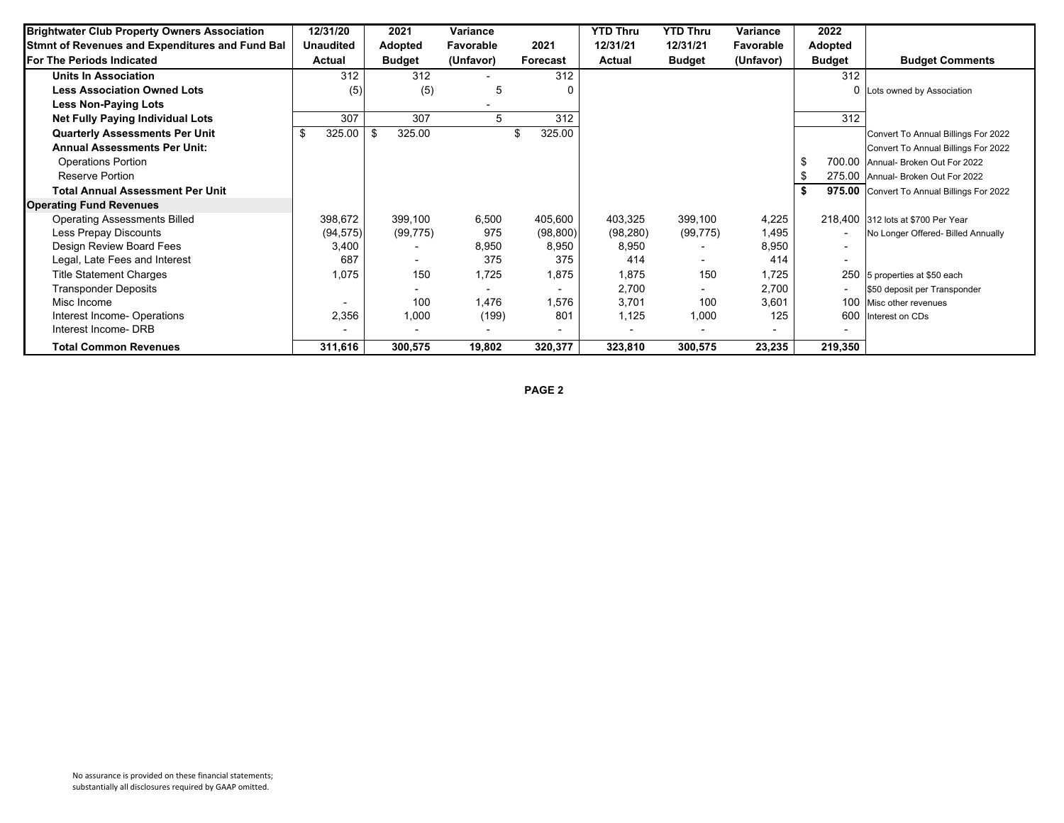| <b>Brightwater Club Property Owners Association</b> | 12/31/20         | 2021                     | Variance                 |           | <b>YTD Thru</b> | <b>YTD Thru</b>          | <b>Variance</b> | 2022          |                                            |
|-----------------------------------------------------|------------------|--------------------------|--------------------------|-----------|-----------------|--------------------------|-----------------|---------------|--------------------------------------------|
| Stmnt of Revenues and Expenditures and Fund Bal     | <b>Unaudited</b> | <b>Adopted</b>           | Favorable                | 2021      | 12/31/21        | 12/31/21                 | Favorable       | Adopted       |                                            |
| <b>For The Periods Indicated</b>                    | Actual           | <b>Budget</b>            | (Unfavor)                | Forecast  | Actual          | <b>Budget</b>            | (Unfavor)       | <b>Budget</b> | <b>Budget Comments</b>                     |
| <b>Units In Association</b>                         | 312              | 312                      |                          | 312       |                 |                          |                 | 312           |                                            |
| <b>Less Association Owned Lots</b>                  | (5)              | (5)                      | 5                        | 0         |                 |                          |                 |               | 0 Lots owned by Association                |
| <b>Less Non-Paying Lots</b>                         |                  |                          |                          |           |                 |                          |                 |               |                                            |
| <b>Net Fully Paying Individual Lots</b>             | 307              | 307                      | 5                        | 312       |                 |                          |                 | 312           |                                            |
| <b>Quarterly Assessments Per Unit</b>               | 325.00<br>\$     | 325.00                   |                          | 325.00    |                 |                          |                 |               | Convert To Annual Billings For 2022        |
| <b>Annual Assessments Per Unit:</b>                 |                  |                          |                          |           |                 |                          |                 |               | Convert To Annual Billings For 2022        |
| <b>Operations Portion</b>                           |                  |                          |                          |           |                 |                          |                 |               | 700.00 Annual- Broken Out For 2022         |
| <b>Reserve Portion</b>                              |                  |                          |                          |           |                 |                          |                 |               | 275.00 Annual- Broken Out For 2022         |
| <b>Total Annual Assessment Per Unit</b>             |                  |                          |                          |           |                 |                          |                 | - \$          | 975.00 Convert To Annual Billings For 2022 |
| <b>Operating Fund Revenues</b>                      |                  |                          |                          |           |                 |                          |                 |               |                                            |
| <b>Operating Assessments Billed</b>                 | 398,672          | 399,100                  | 6,500                    | 405,600   | 403,325         | 399,100                  | 4,225           |               | 218,400 312 lots at \$700 Per Year         |
| Less Prepay Discounts                               | (94, 575)        | (99, 775)                | 975                      | (98, 800) | (98, 280)       | (99, 775)                | 1,495           |               | No Longer Offered- Billed Annually         |
| Design Review Board Fees                            | 3,400            |                          | 8,950                    | 8,950     | 8,950           | $\overline{\phantom{a}}$ | 8,950           |               |                                            |
| Legal, Late Fees and Interest                       | 687              | $\overline{\phantom{0}}$ | 375                      | 375       | 414             | $\blacksquare$           | 414             |               |                                            |
| <b>Title Statement Charges</b>                      | 1,075            | 150                      | 1,725                    | 1,875     | 1,875           | 150                      | 1,725           |               | 250 5 properties at \$50 each              |
| <b>Transponder Deposits</b>                         |                  |                          | $\overline{\phantom{a}}$ |           | 2,700           |                          | 2,700           |               | \$50 deposit per Transponder               |
| Misc Income                                         |                  | 100                      | 1,476                    | 1,576     | 3,701           | 100                      | 3,601           |               | 100 Misc other revenues                    |
| Interest Income-Operations                          | 2,356            | 1,000                    | (199)                    | 801       | 1,125           | 1,000                    | 125             |               | 600 Interest on CDs                        |
| Interest Income- DRB                                |                  |                          |                          |           |                 |                          |                 |               |                                            |
| <b>Total Common Revenues</b>                        | 311,616          | 300,575                  | 19,802                   | 320,377   | 323,810         | 300,575                  | 23,235          | 219,350       |                                            |

**PAGE 2**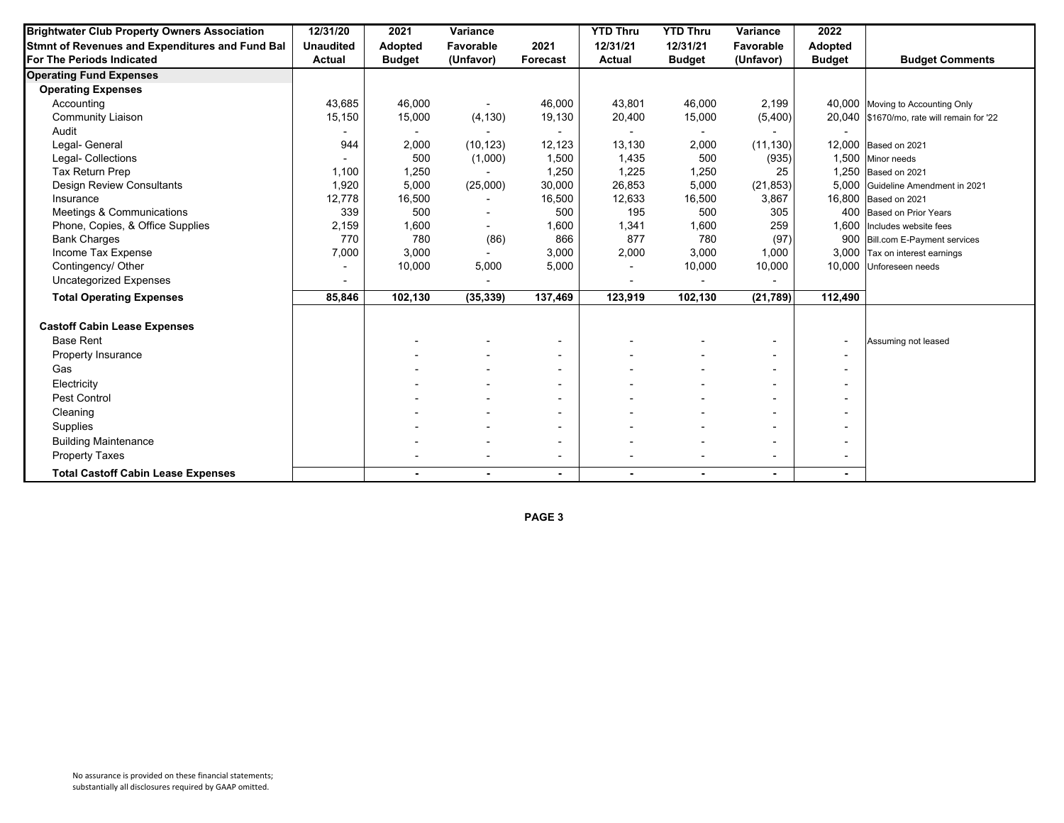| <b>Brightwater Club Property Owners Association</b> | 12/31/20         | 2021           | Variance  |                          | <b>YTD Thru</b> | <b>YTD Thru</b> | Variance                 | 2022           |                                            |
|-----------------------------------------------------|------------------|----------------|-----------|--------------------------|-----------------|-----------------|--------------------------|----------------|--------------------------------------------|
| Stmnt of Revenues and Expenditures and Fund Bal     | <b>Unaudited</b> | <b>Adopted</b> | Favorable | 2021                     | 12/31/21        | 12/31/21        | Favorable                | Adopted        |                                            |
| <b>For The Periods Indicated</b>                    | Actual           | <b>Budget</b>  | (Unfavor) | Forecast                 | <b>Actual</b>   | <b>Budget</b>   | (Unfavor)                | <b>Budget</b>  | <b>Budget Comments</b>                     |
| <b>Operating Fund Expenses</b>                      |                  |                |           |                          |                 |                 |                          |                |                                            |
| <b>Operating Expenses</b>                           |                  |                |           |                          |                 |                 |                          |                |                                            |
| Accounting                                          | 43,685           | 46,000         |           | 46,000                   | 43,801          | 46,000          | 2,199                    |                | 40,000 Moving to Accounting Only           |
| <b>Community Liaison</b>                            | 15,150           | 15,000         | (4, 130)  | 19,130                   | 20,400          | 15,000          | (5,400)                  |                | 20,040 \$1670/mo, rate will remain for '22 |
| Audit                                               |                  |                |           |                          | $\sim$          | $\blacksquare$  |                          |                |                                            |
| Legal- General                                      | 944              | 2,000          | (10, 123) | 12,123                   | 13,130          | 2,000           | (11, 130)                |                | 12,000 Based on 2021                       |
| Legal- Collections                                  |                  | 500            | (1,000)   | 1,500                    | 1,435           | 500             | (935)                    |                | 1,500 Minor needs                          |
| Tax Return Prep                                     | 1,100            | 1,250          |           | 1,250                    | 1,225           | 1,250           | 25                       |                | 1,250 Based on 2021                        |
| Design Review Consultants                           | 1,920            | 5,000          | (25,000)  | 30,000                   | 26,853          | 5,000           | (21, 853)                |                | 5,000 Guideline Amendment in 2021          |
| Insurance                                           | 12,778           | 16,500         |           | 16,500                   | 12,633          | 16,500          | 3,867                    |                | 16,800 Based on 2021                       |
| Meetings & Communications                           | 339              | 500            |           | 500                      | 195             | 500             | 305                      |                | 400 Based on Prior Years                   |
| Phone, Copies, & Office Supplies                    | 2,159            | 1,600          |           | 1,600                    | 1,341           | 1,600           | 259                      |                | 1,600 Includes website fees                |
| <b>Bank Charges</b>                                 | 770              | 780            | (86)      | 866                      | 877             | 780             | (97)                     |                | 900 Bill.com E-Payment services            |
| Income Tax Expense                                  | 7,000            | 3,000          |           | 3,000                    | 2,000           | 3,000           | 1,000                    |                | 3,000 Tax on interest earnings             |
| Contingency/ Other                                  |                  | 10,000         | 5,000     | 5,000                    | $\blacksquare$  | 10,000          | 10,000                   |                | 10,000 Unforeseen needs                    |
| <b>Uncategorized Expenses</b>                       |                  |                |           |                          |                 |                 |                          |                |                                            |
| <b>Total Operating Expenses</b>                     | 85,846           | 102,130        | (35, 339) | 137,469                  | 123,919         | 102,130         | (21, 789)                | 112,490        |                                            |
| <b>Castoff Cabin Lease Expenses</b>                 |                  |                |           |                          |                 |                 |                          |                |                                            |
| <b>Base Rent</b>                                    |                  |                |           | $\overline{\phantom{a}}$ |                 |                 |                          | $\blacksquare$ | Assuming not leased                        |
| Property Insurance                                  |                  |                |           | $\blacksquare$           |                 |                 |                          |                |                                            |
| Gas                                                 |                  |                |           |                          |                 |                 |                          |                |                                            |
| Electricity                                         |                  |                |           | $\overline{\phantom{a}}$ |                 |                 | $\overline{\phantom{0}}$ |                |                                            |
| Pest Control                                        |                  |                |           | $\overline{\phantom{a}}$ |                 |                 |                          |                |                                            |
| Cleaning                                            |                  |                |           |                          |                 |                 |                          |                |                                            |
| Supplies                                            |                  |                |           |                          |                 |                 |                          |                |                                            |
| <b>Building Maintenance</b>                         |                  |                |           |                          |                 |                 |                          |                |                                            |
| <b>Property Taxes</b>                               |                  |                |           |                          |                 |                 | $\overline{\phantom{0}}$ |                |                                            |
| <b>Total Castoff Cabin Lease Expenses</b>           |                  |                | ٠         | $\blacksquare$           | ۰.              | ٠               | ٠                        |                |                                            |

**PAGE 3**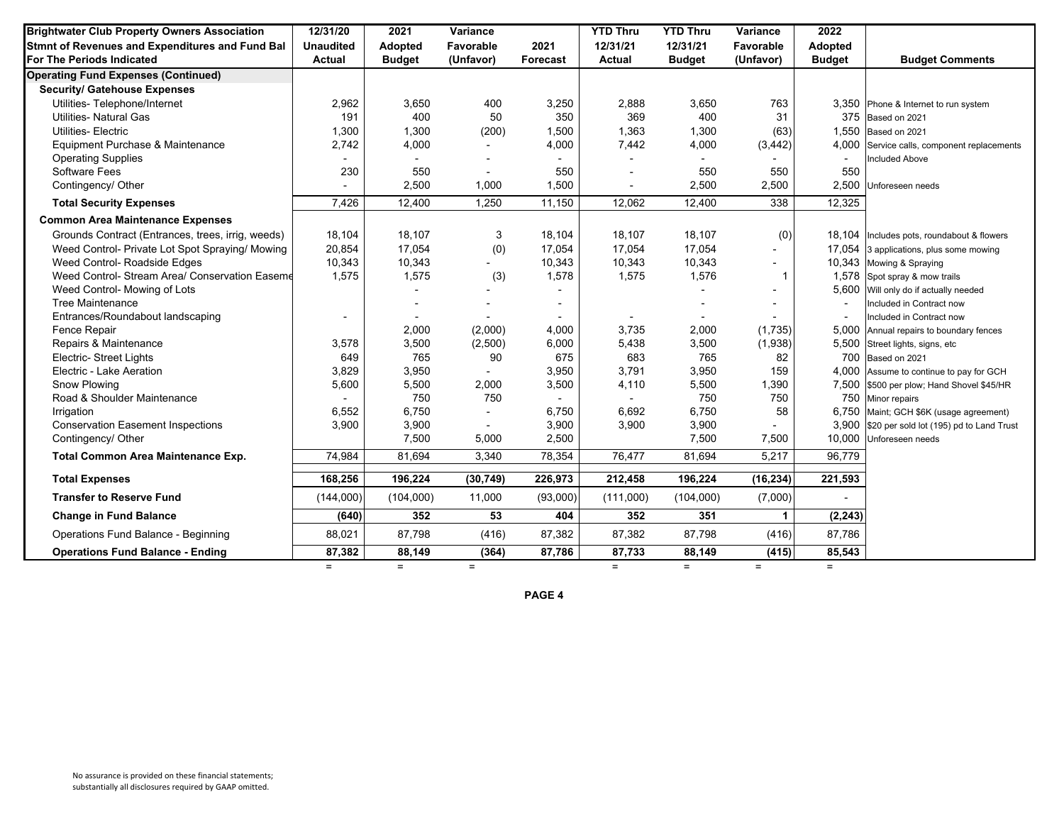| <b>Brightwater Club Property Owners Association</b> | 12/31/20         | 2021                     | Variance                 |          | <b>YTD Thru</b>          | <b>YTD Thru</b> | Variance     | 2022          |                                                |
|-----------------------------------------------------|------------------|--------------------------|--------------------------|----------|--------------------------|-----------------|--------------|---------------|------------------------------------------------|
| Stmnt of Revenues and Expenditures and Fund Bal     | <b>Unaudited</b> | <b>Adopted</b>           | Favorable                | 2021     | 12/31/21                 | 12/31/21        | Favorable    | Adopted       |                                                |
| For The Periods Indicated                           | <b>Actual</b>    | <b>Budget</b>            | (Unfavor)                | Forecast | Actual                   | <b>Budget</b>   | (Unfavor)    | <b>Budget</b> | <b>Budget Comments</b>                         |
| <b>Operating Fund Expenses (Continued)</b>          |                  |                          |                          |          |                          |                 |              |               |                                                |
| <b>Security/ Gatehouse Expenses</b>                 |                  |                          |                          |          |                          |                 |              |               |                                                |
| Utilities- Telephone/Internet                       | 2,962            | 3,650                    | 400                      | 3,250    | 2,888                    | 3,650           | 763          |               | 3,350 Phone & Internet to run system           |
| <b>Utilities- Natural Gas</b>                       | 191              | 400                      | 50                       | 350      | 369                      | 400             | 31           | 375           | Based on 2021                                  |
| <b>Utilities-Electric</b>                           | 1,300            | 1,300                    | (200)                    | 1,500    | 1,363                    | 1,300           | (63)         |               | 1,550 Based on 2021                            |
| Equipment Purchase & Maintenance                    | 2,742            | 4,000                    |                          | 4,000    | 7,442                    | 4,000           | (3, 442)     |               | 4,000 Service calls, component replacements    |
| <b>Operating Supplies</b>                           |                  | $\overline{a}$           |                          |          |                          |                 |              |               | <b>Included Above</b>                          |
| <b>Software Fees</b>                                | 230              | 550                      | $\overline{a}$           | 550      |                          | 550             | 550          | 550           |                                                |
| Contingency/ Other                                  |                  | 2,500                    | 1,000                    | 1,500    | $\overline{\phantom{a}}$ | 2,500           | 2,500        |               | 2,500 Unforeseen needs                         |
| <b>Total Security Expenses</b>                      | 7,426            | 12,400                   | 1,250                    | 11,150   | 12,062                   | 12,400          | 338          | 12,325        |                                                |
| <b>Common Area Maintenance Expenses</b>             |                  |                          |                          |          |                          |                 |              |               |                                                |
| Grounds Contract (Entrances, trees, irrig, weeds)   | 18,104           | 18,107                   | 3                        | 18,104   | 18,107                   | 18,107          | (0)          |               | 18,104 Includes pots, roundabout & flowers     |
| Weed Control- Private Lot Spot Spraying/ Mowing     | 20,854           | 17,054                   | (0)                      | 17,054   | 17,054                   | 17,054          |              |               | 17,054 3 applications, plus some mowing        |
| Weed Control- Roadside Edges                        | 10,343           | 10,343                   |                          | 10,343   | 10,343                   | 10,343          |              |               | 10,343 Mowing & Spraying                       |
| Weed Control- Stream Area/ Conservation Easeme      | 1,575            | 1,575                    | (3)                      | 1,578    | 1,575                    | 1,576           | $\mathbf{1}$ |               | 1,578 Spot spray & mow trails                  |
| Weed Control- Mowing of Lots                        |                  |                          |                          |          |                          |                 |              | 5,600         | Will only do if actually needed                |
| <b>Tree Maintenance</b>                             |                  |                          |                          |          |                          |                 |              |               | Included in Contract now                       |
| Entrances/Roundabout landscaping                    |                  | $\overline{\phantom{a}}$ |                          |          | $\overline{\phantom{a}}$ |                 |              |               | Included in Contract now                       |
| Fence Repair                                        |                  | 2,000                    | (2,000)                  | 4,000    | 3,735                    | 2,000           | (1,735)      | 5,000         | Annual repairs to boundary fences              |
| Repairs & Maintenance                               | 3,578            | 3,500                    | (2,500)                  | 6,000    | 5,438                    | 3,500           | (1,938)      |               | 5,500 Street lights, signs, etc                |
| Electric- Street Lights                             | 649              | 765                      | 90                       | 675      | 683                      | 765             | 82           |               | 700 Based on 2021                              |
| Electric - Lake Aeration                            | 3,829            | 3,950                    | $\overline{\phantom{a}}$ | 3,950    | 3,791                    | 3,950           | 159          |               | 4,000 Assume to continue to pay for GCH        |
| Snow Plowing                                        | 5,600            | 5,500                    | 2,000                    | 3,500    | 4,110                    | 5,500           | 1,390        |               | 7,500 \$500 per plow; Hand Shovel \$45/HR      |
| Road & Shoulder Maintenance                         |                  | 750                      | 750                      |          |                          | 750             | 750          | 750           | Minor repairs                                  |
| Irrigation                                          | 6,552            | 6,750                    |                          | 6.750    | 6,692                    | 6,750           | 58           |               | 6,750 Maint; GCH \$6K (usage agreement)        |
| <b>Conservation Easement Inspections</b>            | 3,900            | 3,900                    |                          | 3,900    | 3,900                    | 3,900           |              |               | 3,900 \$20 per sold lot (195) pd to Land Trust |
| Contingency/ Other                                  |                  | 7,500                    | 5,000                    | 2,500    |                          | 7,500           | 7,500        |               | 10,000 Unforeseen needs                        |
| Total Common Area Maintenance Exp.                  | 74,984           | 81,694                   | 3,340                    | 78,354   | 76,477                   | 81,694          | 5,217        | 96,779        |                                                |
| <b>Total Expenses</b>                               | 168,256          | 196,224                  | (30, 749)                | 226,973  | 212,458                  | 196,224         | (16, 234)    | 221,593       |                                                |
| <b>Transfer to Reserve Fund</b>                     | (144,000)        | (104,000)                | 11,000                   | (93,000) | (111,000)                | (104,000)       | (7,000)      |               |                                                |
|                                                     |                  |                          |                          |          |                          |                 |              |               |                                                |
| <b>Change in Fund Balance</b>                       | (640)            | 352                      | 53                       | 404      | 352                      | 351             | 1            | (2, 243)      |                                                |
| Operations Fund Balance - Beginning                 | 88,021           | 87,798                   | (416)                    | 87,382   | 87,382                   | 87,798          | (416)        | 87,786        |                                                |
| <b>Operations Fund Balance - Ending</b>             | 87,382           | 88,149                   | (364)                    | 87,786   | 87,733                   | 88,149          | (415)        | 85,543        |                                                |
|                                                     | $=$              | $=$                      | $=$                      |          | $=$                      | $=$             | $=$          | $=$           |                                                |

**PAGE 4**